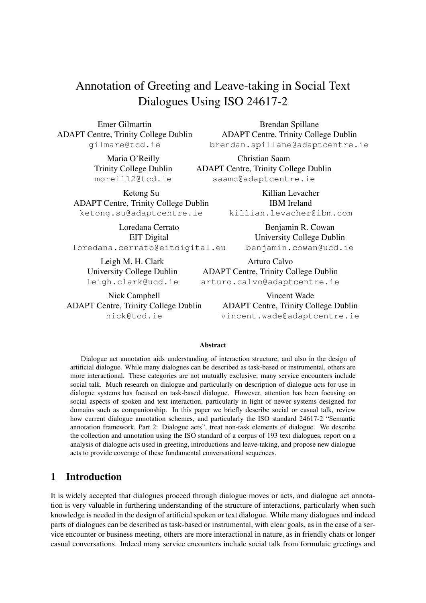# Annotation of Greeting and Leave-taking in Social Text Dialogues Using ISO 24617-2

Emer Gilmartin ADAPT Centre, Trinity College Dublin gilmare@tcd.ie

> Maria O'Reilly Trinity College Dublin moreil12@tcd.ie

Ketong Su ADAPT Centre, Trinity College Dublin ketong.su@adaptcentre.ie

Loredana Cerrato EIT Digital loredana.cerrato@eitdigital.eu

Leigh M. H. Clark University College Dublin leigh.clark@ucd.ie

Nick Campbell ADAPT Centre, Trinity College Dublin nick@tcd.ie

Brendan Spillane ADAPT Centre, Trinity College Dublin brendan.spillane@adaptcentre.ie

Christian Saam ADAPT Centre, Trinity College Dublin saamc@adaptcentre.ie

> Killian Levacher IBM Ireland killian.levacher@ibm.com

> > Benjamin R. Cowan University College Dublin benjamin.cowan@ucd.ie

Arturo Calvo ADAPT Centre, Trinity College Dublin arturo.calvo@adaptcentre.ie

> Vincent Wade ADAPT Centre, Trinity College Dublin vincent.wade@adaptcentre.ie

#### Abstract

Dialogue act annotation aids understanding of interaction structure, and also in the design of artificial dialogue. While many dialogues can be described as task-based or instrumental, others are more interactional. These categories are not mutually exclusive; many service encounters include social talk. Much research on dialogue and particularly on description of dialogue acts for use in dialogue systems has focused on task-based dialogue. However, attention has been focusing on social aspects of spoken and text interaction, particularly in light of newer systems designed for domains such as companionship. In this paper we briefly describe social or casual talk, review how current dialogue annotation schemes, and particularly the ISO standard 24617-2 "Semantic annotation framework, Part 2: Dialogue acts", treat non-task elements of dialogue. We describe the collection and annotation using the ISO standard of a corpus of 193 text dialogues, report on a analysis of dialogue acts used in greeting, introductions and leave-taking, and propose new dialogue acts to provide coverage of these fundamental conversational sequences.

## 1 Introduction

It is widely accepted that dialogues proceed through dialogue moves or acts, and dialogue act annotation is very valuable in furthering understanding of the structure of interactions, particularly when such knowledge is needed in the design of artificial spoken or text dialogue. While many dialogues and indeed parts of dialogues can be described as task-based or instrumental, with clear goals, as in the case of a service encounter or business meeting, others are more interactional in nature, as in friendly chats or longer casual conversations. Indeed many service encounters include social talk from formulaic greetings and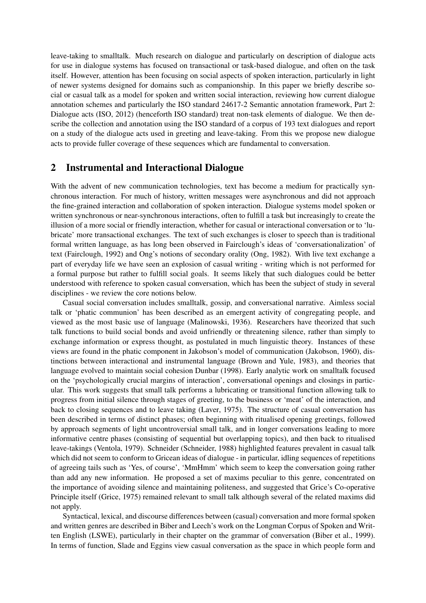leave-taking to smalltalk. Much research on dialogue and particularly on description of dialogue acts for use in dialogue systems has focused on transactional or task-based dialogue, and often on the task itself. However, attention has been focusing on social aspects of spoken interaction, particularly in light of newer systems designed for domains such as companionship. In this paper we briefly describe social or casual talk as a model for spoken and written social interaction, reviewing how current dialogue annotation schemes and particularly the ISO standard 24617-2 Semantic annotation framework, Part 2: Dialogue acts (ISO, 2012) (henceforth ISO standard) treat non-task elements of dialogue. We then describe the collection and annotation using the ISO standard of a corpus of 193 text dialogues and report on a study of the dialogue acts used in greeting and leave-taking. From this we propose new dialogue acts to provide fuller coverage of these sequences which are fundamental to conversation.

#### 2 Instrumental and Interactional Dialogue

With the advent of new communication technologies, text has become a medium for practically synchronous interaction. For much of history, written messages were asynchronous and did not approach the fine-grained interaction and collaboration of spoken interaction. Dialogue systems model spoken or written synchronous or near-synchronous interactions, often to fulfill a task but increasingly to create the illusion of a more social or friendly interaction, whether for casual or interactional conversation or to 'lubricate' more transactional exchanges. The text of such exchanges is closer to speech than is traditional formal written language, as has long been observed in Fairclough's ideas of 'conversationalization' of text (Fairclough, 1992) and Ong's notions of secondary orality (Ong, 1982). With live text exchange a part of everyday life we have seen an explosion of casual writing - writing which is not performed for a formal purpose but rather to fulfill social goals. It seems likely that such dialogues could be better understood with reference to spoken casual conversation, which has been the subject of study in several disciplines - we review the core notions below.

Casual social conversation includes smalltalk, gossip, and conversational narrative. Aimless social talk or 'phatic communion' has been described as an emergent activity of congregating people, and viewed as the most basic use of language (Malinowski, 1936). Researchers have theorized that such talk functions to build social bonds and avoid unfriendly or threatening silence, rather than simply to exchange information or express thought, as postulated in much linguistic theory. Instances of these views are found in the phatic component in Jakobson's model of communication (Jakobson, 1960), distinctions between interactional and instrumental language (Brown and Yule, 1983), and theories that language evolved to maintain social cohesion Dunbar (1998). Early analytic work on smalltalk focused on the 'psychologically crucial margins of interaction', conversational openings and closings in particular. This work suggests that small talk performs a lubricating or transitional function allowing talk to progress from initial silence through stages of greeting, to the business or 'meat' of the interaction, and back to closing sequences and to leave taking (Laver, 1975). The structure of casual conversation has been described in terms of distinct phases; often beginning with ritualised opening greetings, followed by approach segments of light uncontroversial small talk, and in longer conversations leading to more informative centre phases (consisting of sequential but overlapping topics), and then back to ritualised leave-takings (Ventola, 1979). Schneider (Schneider, 1988) highlighted features prevalent in casual talk which did not seem to conform to Gricean ideas of dialogue - in particular, idling sequences of repetitions of agreeing tails such as 'Yes, of course', 'MmHmm' which seem to keep the conversation going rather than add any new information. He proposed a set of maxims peculiar to this genre, concentrated on the importance of avoiding silence and maintaining politeness, and suggested that Grice's Co-operative Principle itself (Grice, 1975) remained relevant to small talk although several of the related maxims did not apply.

Syntactical, lexical, and discourse differences between (casual) conversation and more formal spoken and written genres are described in Biber and Leech's work on the Longman Corpus of Spoken and Written English (LSWE), particularly in their chapter on the grammar of conversation (Biber et al., 1999). In terms of function, Slade and Eggins view casual conversation as the space in which people form and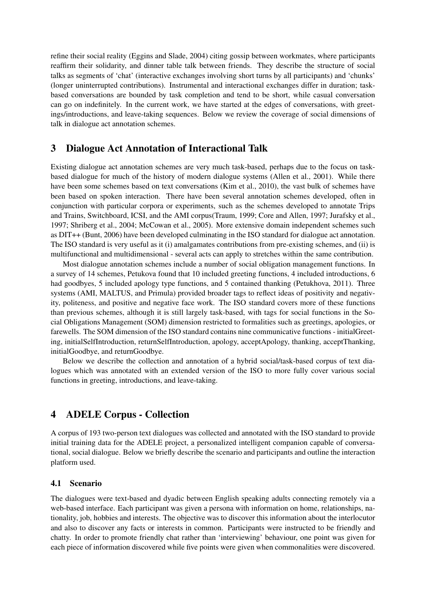refine their social reality (Eggins and Slade, 2004) citing gossip between workmates, where participants reaffirm their solidarity, and dinner table talk between friends. They describe the structure of social talks as segments of 'chat' (interactive exchanges involving short turns by all participants) and 'chunks' (longer uninterrupted contributions). Instrumental and interactional exchanges differ in duration; taskbased conversations are bounded by task completion and tend to be short, while casual conversation can go on indefinitely. In the current work, we have started at the edges of conversations, with greetings/introductions, and leave-taking sequences. Below we review the coverage of social dimensions of talk in dialogue act annotation schemes.

## 3 Dialogue Act Annotation of Interactional Talk

Existing dialogue act annotation schemes are very much task-based, perhaps due to the focus on taskbased dialogue for much of the history of modern dialogue systems (Allen et al., 2001). While there have been some schemes based on text conversations (Kim et al., 2010), the vast bulk of schemes have been based on spoken interaction. There have been several annotation schemes developed, often in conjunction with particular corpora or experiments, such as the schemes developed to annotate Trips and Trains, Switchboard, ICSI, and the AMI corpus(Traum, 1999; Core and Allen, 1997; Jurafsky et al., 1997; Shriberg et al., 2004; McCowan et al., 2005). More extensive domain independent schemes such as DIT++ (Bunt, 2006) have been developed culminating in the ISO standard for dialogue act annotation. The ISO standard is very useful as it (i) amalgamates contributions from pre-existing schemes, and (ii) is multifunctional and multidimensional - several acts can apply to stretches within the same contribution.

Most dialogue annotation schemes include a number of social obligation management functions. In a survey of 14 schemes, Petukova found that 10 included greeting functions, 4 included introductions, 6 had goodbyes, 5 included apology type functions, and 5 contained thanking (Petukhova, 2011). Three systems (AMI, MALTUS, and Primula) provided broader tags to reflect ideas of positivity and negativity, politeness, and positive and negative face work. The ISO standard covers more of these functions than previous schemes, although it is still largely task-based, with tags for social functions in the Social Obligations Management (SOM) dimension restricted to formalities such as greetings, apologies, or farewells. The SOM dimension of the ISO standard contains nine communicative functions - initialGreeting, initialSelfIntroduction, returnSelfIntroduction, apology, acceptApology, thanking, acceptThanking, initialGoodbye, and returnGoodbye.

Below we describe the collection and annotation of a hybrid social/task-based corpus of text dialogues which was annotated with an extended version of the ISO to more fully cover various social functions in greeting, introductions, and leave-taking.

# 4 ADELE Corpus - Collection

A corpus of 193 two-person text dialogues was collected and annotated with the ISO standard to provide initial training data for the ADELE project, a personalized intelligent companion capable of conversational, social dialogue. Below we briefly describe the scenario and participants and outline the interaction platform used.

#### 4.1 Scenario

The dialogues were text-based and dyadic between English speaking adults connecting remotely via a web-based interface. Each participant was given a persona with information on home, relationships, nationality, job, hobbies and interests. The objective was to discover this information about the interlocutor and also to discover any facts or interests in common. Participants were instructed to be friendly and chatty. In order to promote friendly chat rather than 'interviewing' behaviour, one point was given for each piece of information discovered while five points were given when commonalities were discovered.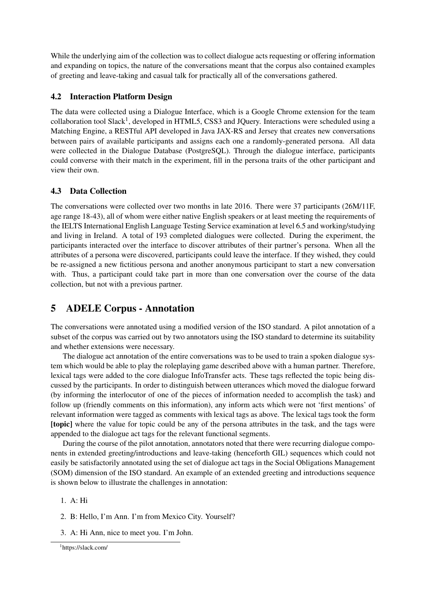While the underlying aim of the collection was to collect dialogue acts requesting or offering information and expanding on topics, the nature of the conversations meant that the corpus also contained examples of greeting and leave-taking and casual talk for practically all of the conversations gathered.

#### 4.2 Interaction Platform Design

The data were collected using a Dialogue Interface, which is a Google Chrome extension for the team collaboration tool Slack<sup>1</sup>, developed in HTML5, CSS3 and JQuery. Interactions were scheduled using a Matching Engine, a RESTful API developed in Java JAX-RS and Jersey that creates new conversations between pairs of available participants and assigns each one a randomly-generated persona. All data were collected in the Dialogue Database (PostgreSQL). Through the dialogue interface, participants could converse with their match in the experiment, fill in the persona traits of the other participant and view their own.

#### 4.3 Data Collection

The conversations were collected over two months in late 2016. There were 37 participants (26M/11F, age range 18-43), all of whom were either native English speakers or at least meeting the requirements of the IELTS International English Language Testing Service examination at level 6.5 and working/studying and living in Ireland. A total of 193 completed dialogues were collected. During the experiment, the participants interacted over the interface to discover attributes of their partner's persona. When all the attributes of a persona were discovered, participants could leave the interface. If they wished, they could be re-assigned a new fictitious persona and another anonymous participant to start a new conversation with. Thus, a participant could take part in more than one conversation over the course of the data collection, but not with a previous partner.

# 5 ADELE Corpus - Annotation

The conversations were annotated using a modified version of the ISO standard. A pilot annotation of a subset of the corpus was carried out by two annotators using the ISO standard to determine its suitability and whether extensions were necessary.

The dialogue act annotation of the entire conversations was to be used to train a spoken dialogue system which would be able to play the roleplaying game described above with a human partner. Therefore, lexical tags were added to the core dialogue InfoTransfer acts. These tags reflected the topic being discussed by the participants. In order to distinguish between utterances which moved the dialogue forward (by informing the interlocutor of one of the pieces of information needed to accomplish the task) and follow up (friendly comments on this information), any inform acts which were not 'first mentions' of relevant information were tagged as comments with lexical tags as above. The lexical tags took the form [topic] where the value for topic could be any of the persona attributes in the task, and the tags were appended to the dialogue act tags for the relevant functional segments.

During the course of the pilot annotation, annotators noted that there were recurring dialogue components in extended greeting/introductions and leave-taking (henceforth GIL) sequences which could not easily be satisfactorily annotated using the set of dialogue act tags in the Social Obligations Management (SOM) dimension of the ISO standard. An example of an extended greeting and introductions sequence is shown below to illustrate the challenges in annotation:

1. A: Hi

- 2. B: Hello, I'm Ann. I'm from Mexico City. Yourself?
- 3. A: Hi Ann, nice to meet you. I'm John.

<sup>1</sup> https://slack.com/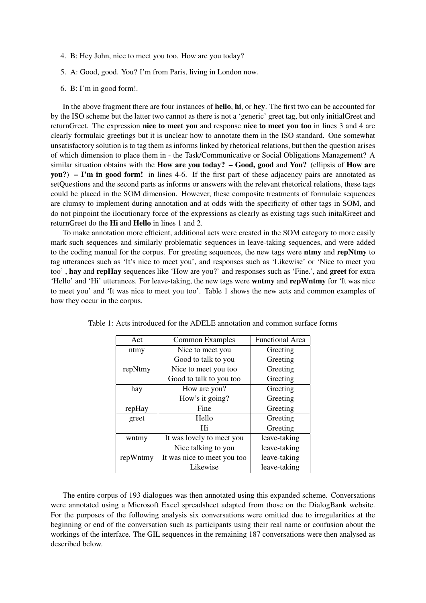- 4. B: Hey John, nice to meet you too. How are you today?
- 5. A: Good, good. You? I'm from Paris, living in London now.
- 6. B: I'm in good form!.

In the above fragment there are four instances of hello, hi, or hey. The first two can be accounted for by the ISO scheme but the latter two cannot as there is not a 'generic' greet tag, but only initialGreet and returnGreet. The expression nice to meet you and response nice to meet you too in lines 3 and 4 are clearly formulaic greetings but it is unclear how to annotate them in the ISO standard. One somewhat unsatisfactory solution is to tag them as informs linked by rhetorical relations, but then the question arises of which dimension to place them in - the Task/Communicative or Social Obligations Management? A similar situation obtains with the How are you today? - Good, good and You? (ellipsis of How are you?) – I'm in good form! in lines 4-6. If the first part of these adjacency pairs are annotated as setQuestions and the second parts as informs or answers with the relevant rhetorical relations, these tags could be placed in the SOM dimension. However, these composite treatments of formulaic sequences are clumsy to implement during annotation and at odds with the specificity of other tags in SOM, and do not pinpoint the ilocutionary force of the expressions as clearly as existing tags such initalGreet and returnGreet do the Hi and Hello in lines 1 and 2.

To make annotation more efficient, additional acts were created in the SOM category to more easily mark such sequences and similarly problematic sequences in leave-taking sequences, and were added to the coding manual for the corpus. For greeting sequences, the new tags were **ntmy** and **repNtmy** to tag utterances such as 'It's nice to meet you', and responses such as 'Likewise' or 'Nice to meet you too' , hay and repHay sequences like 'How are you?' and responses such as 'Fine.', and greet for extra 'Hello' and 'Hi' utterances. For leave-taking, the new tags were wntmy and repWntmy for 'It was nice to meet you' and 'It was nice to meet you too'. Table 1 shows the new acts and common examples of how they occur in the corpus.

| Act      | <b>Common Examples</b>      | <b>Functional Area</b> |  |
|----------|-----------------------------|------------------------|--|
| ntmy     | Nice to meet you            | Greeting               |  |
|          | Good to talk to you         | Greeting               |  |
| repNtmy  | Nice to meet you too        | Greeting               |  |
|          | Good to talk to you too     | Greeting               |  |
| hay      | How are you?                | Greeting               |  |
|          | How's it going?             | Greeting               |  |
| repHay   | Fine                        | Greeting               |  |
| greet    | Hello                       | Greeting               |  |
|          | Hi                          | Greeting               |  |
| wntmy    | It was lovely to meet you   | leave-taking           |  |
|          | Nice talking to you         | leave-taking           |  |
| repWntmy | It was nice to meet you too | leave-taking           |  |
|          | Likewise                    | leave-taking           |  |

Table 1: Acts introduced for the ADELE annotation and common surface forms

The entire corpus of 193 dialogues was then annotated using this expanded scheme. Conversations were annotated using a Microsoft Excel spreadsheet adapted from those on the DialogBank website. For the purposes of the following analysis six conversations were omitted due to irregularities at the beginning or end of the conversation such as participants using their real name or confusion about the workings of the interface. The GIL sequences in the remaining 187 conversations were then analysed as described below.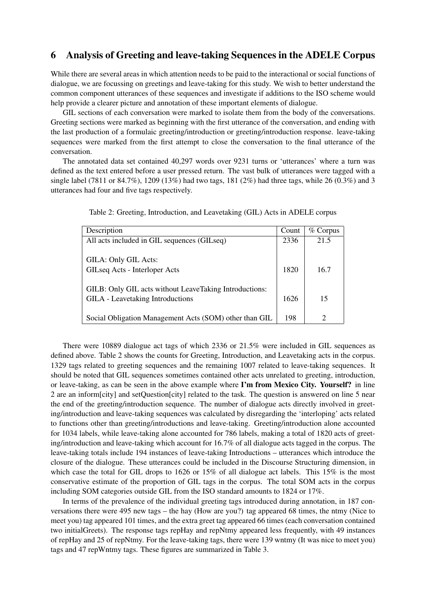# 6 Analysis of Greeting and leave-taking Sequences in the ADELE Corpus

While there are several areas in which attention needs to be paid to the interactional or social functions of dialogue, we are focussing on greetings and leave-taking for this study. We wish to better understand the common component utterances of these sequences and investigate if additions to the ISO scheme would help provide a clearer picture and annotation of these important elements of dialogue.

GIL sections of each conversation were marked to isolate them from the body of the conversations. Greeting sections were marked as beginning with the first utterance of the conversation, and ending with the last production of a formulaic greeting/introduction or greeting/introduction response. leave-taking sequences were marked from the first attempt to close the conversation to the final utterance of the conversation.

The annotated data set contained 40,297 words over 9231 turns or 'utterances' where a turn was defined as the text entered before a user pressed return. The vast bulk of utterances were tagged with a single label (7811 or 84.7%), 1209 (13%) had two tags, 181 (2%) had three tags, while 26 (0.3%) and 3 utterances had four and five tags respectively.

| Description                                                                                | Count | $%$ Corpus |
|--------------------------------------------------------------------------------------------|-------|------------|
| All acts included in GIL sequences (GILseq)                                                | 2336  | 21.5       |
| GILA: Only GIL Acts:                                                                       |       |            |
| GILseq Acts - Interloper Acts                                                              | 1820  | 16.7       |
|                                                                                            |       |            |
| GILB: Only GIL acts without LeaveTaking Introductions:<br>GILA - Leavetaking Introductions | 1626  | 15         |
| Social Obligation Management Acts (SOM) other than GIL                                     | 198   | ∍          |

| Table 2: Greeting, Introduction, and Leavetaking (GIL) Acts in ADELE corpus |  |  |  |
|-----------------------------------------------------------------------------|--|--|--|
|                                                                             |  |  |  |

There were 10889 dialogue act tags of which 2336 or 21.5% were included in GIL sequences as defined above. Table 2 shows the counts for Greeting, Introduction, and Leavetaking acts in the corpus. 1329 tags related to greeting sequences and the remaining 1007 related to leave-taking sequences. It should be noted that GIL sequences sometimes contained other acts unrelated to greeting, introduction, or leave-taking, as can be seen in the above example where I'm from Mexico City. Yourself? in line 2 are an inform[city] and setQuestion[city] related to the task. The question is answered on line 5 near the end of the greeting/introduction sequence. The number of dialogue acts directly involved in greeting/introduction and leave-taking sequences was calculated by disregarding the 'interloping' acts related to functions other than greeting/introductions and leave-taking. Greeting/introduction alone accounted for 1034 labels, while leave-taking alone accounted for 786 labels, making a total of 1820 acts of greeting/introduction and leave-taking which account for 16.7% of all dialogue acts tagged in the corpus. The leave-taking totals include 194 instances of leave-taking Introductions – utterances which introduce the closure of the dialogue. These utterances could be included in the Discourse Structuring dimension, in which case the total for GIL drops to 1626 or 15% of all dialogue act labels. This 15% is the most conservative estimate of the proportion of GIL tags in the corpus. The total SOM acts in the corpus including SOM categories outside GIL from the ISO standard amounts to 1824 or 17%.

In terms of the prevalence of the individual greeting tags introduced during annotation, in 187 conversations there were 495 new tags – the hay (How are you?) tag appeared 68 times, the ntmy (Nice to meet you) tag appeared 101 times, and the extra greet tag appeared 66 times (each conversation contained two initialGreets). The response tags repHay and repNtmy appeared less frequently, with 49 instances of repHay and 25 of repNtmy. For the leave-taking tags, there were 139 wntmy (It was nice to meet you) tags and 47 repWntmy tags. These figures are summarized in Table 3.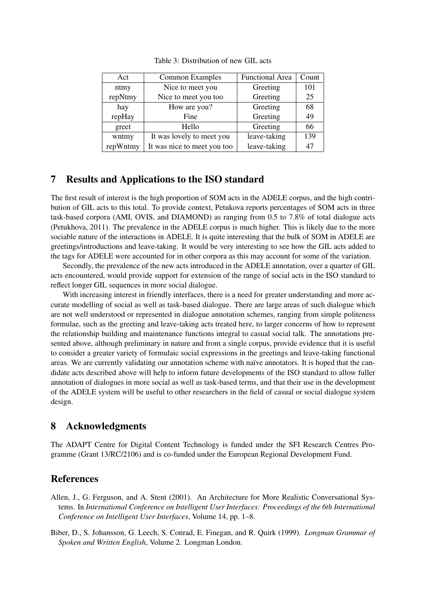| Act      | Common Examples             | <b>Functional Area</b> | Count |
|----------|-----------------------------|------------------------|-------|
| ntmy     | Nice to meet you            | Greeting               | 101   |
| repNtmy  | Nice to meet you too        | Greeting               | 25    |
| hay      | How are you?                | Greeting               | 68    |
| repHay   | Fine                        | Greeting               | 49    |
| greet    | Hello                       | Greeting               | 66    |
| wntmy    | It was lovely to meet you   | leave-taking           | 139   |
| repWntmy | It was nice to meet you too | leave-taking           | 47    |

Table 3: Distribution of new GIL acts

# 7 Results and Applications to the ISO standard

The first result of interest is the high proportion of SOM acts in the ADELE corpus, and the high contribution of GIL acts to this total. To provide context, Petukova reports percentages of SOM acts in three task-based corpora (AMI, OVIS, and DIAMOND) as ranging from 0.5 to 7.8% of total dialogue acts (Petukhova, 2011). The prevalence in the ADELE corpus is much higher. This is likely due to the more sociable nature of the interactions in ADELE. It is quite interesting that the bulk of SOM in ADELE are greetings/introductions and leave-taking. It would be very interesting to see how the GIL acts added to the tags for ADELE were accounted for in other corpora as this may account for some of the variation.

Secondly, the prevalence of the new acts introduced in the ADELE annotation, over a quarter of GIL acts encountered, would provide support for extension of the range of social acts in the ISO standard to reflect longer GIL sequences in more social dialogue.

With increasing interest in friendly interfaces, there is a need for greater understanding and more accurate modelling of social as well as task-based dialogue. There are large areas of such dialogue which are not well understood or represented in dialogue annotation schemes, ranging from simple politeness formulae, such as the greeting and leave-taking acts treated here, to larger concerns of how to represent the relationship building and maintenance functions integral to casual social talk. The annotations presented above, although preliminary in nature and from a single corpus, provide evidence that it is useful to consider a greater variety of formulaic social expressions in the greetings and leave-taking functional areas. We are currently validating our annotation scheme with naïve annotators. It is hoped that the candidate acts described above will help to inform future developments of the ISO standard to allow fuller annotation of dialogues in more social as well as task-based terms, and that their use in the development of the ADELE system will be useful to other researchers in the field of casual or social dialogue system design.

### 8 Acknowledgments

The ADAPT Centre for Digital Content Technology is funded under the SFI Research Centres Programme (Grant 13/RC/2106) and is co-funded under the European Regional Development Fund.

### References

- Allen, J., G. Ferguson, and A. Stent (2001). An Architecture for More Realistic Conversational Systems. In *International Conference on Intelligent User Interfaces: Proceedings of the 6th International Conference on Intelligent User Interfaces*, Volume 14, pp. 1–8.
- Biber, D., S. Johansson, G. Leech, S. Conrad, E. Finegan, and R. Quirk (1999). *Longman Grammar of Spoken and Written English*, Volume 2. Longman London.